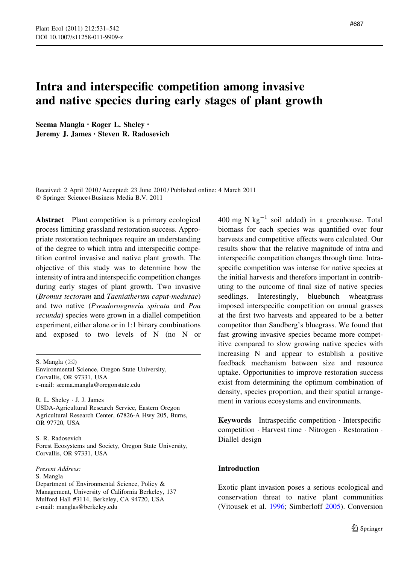# Intra and interspecific competition among invasive and native species during early stages of plant growth

Seema Mangla • Roger L. Sheley • Jeremy J. James • Steven R. Radosevich

Received: 2 April 2010 / Accepted: 23 June 2010 / Published online: 4 March 2011 © Springer Science+Business Media B.V. 2011

Abstract Plant competition is a primary ecological process limiting grassland restoration success. Appropriate restoration techniques require an understanding of the degree to which intra and interspecific competition control invasive and native plant growth. The objective of this study was to determine how the intensity of intra and interspecific competition changes during early stages of plant growth. Two invasive (Bromus tectorum and Taeniatherum caput-medusae) and two native (Pseudoroegneria spicata and Poa secunda) species were grown in a diallel competition experiment, either alone or in 1:1 binary combinations and exposed to two levels of N (no N or

S. Mangla  $(\boxtimes)$ Environmental Science, Oregon State University, Corvallis, OR 97331, USA e-mail: seema.mangla@oregonstate.edu

R. L. Sheley - J. J. James USDA-Agricultural Research Service, Eastern Oregon Agricultural Research Center, 67826-A Hwy 205, Burns, OR 97720, USA

S. R. Radosevich Forest Ecosystems and Society, Oregon State University, Corvallis, OR 97331, USA

Present Address: S. Mangla

Department of Environmental Science, Policy & Management, University of California Berkeley, 137 Mulford Hall #3114, Berkeley, CA 94720, USA e-mail: manglas@berkeley.edu

400 mg N kg<sup> $-1$ </sup> soil added) in a greenhouse. Total biomass for each species was quantified over four harvests and competitive effects were calculated. Our results show that the relative magnitude of intra and interspecific competition changes through time. Intraspecific competition was intense for native species at the initial harvests and therefore important in contributing to the outcome of final size of native species seedlings. Interestingly, bluebunch wheatgrass imposed interspecific competition on annual grasses at the first two harvests and appeared to be a better competitor than Sandberg's bluegrass. We found that fast growing invasive species became more competitive compared to slow growing native species with increasing N and appear to establish a positive feedback mechanism between size and resource uptake. Opportunities to improve restoration success exist from determining the optimum combination of density, species proportion, and their spatial arrangement in various ecosystems and environments.

Keywords Intraspecific competition - Interspecific competition - Harvest time - Nitrogen - Restoration - Diallel design

## Introduction

Exotic plant invasion poses a serious ecological and conservation threat to native plant communities (Vitousek et al. [1996;](#page-11-0) Simberloff [2005\)](#page-10-0). Conversion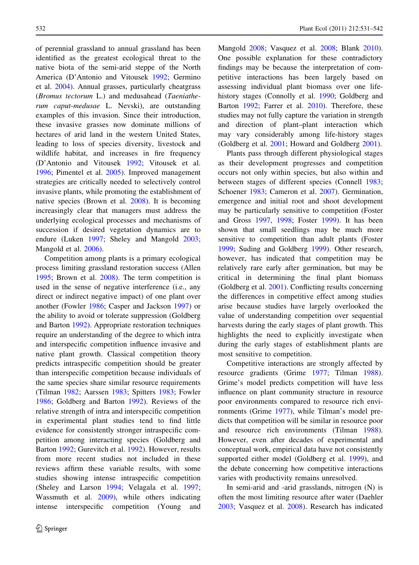of perennial grassland to annual grassland has been identified as the greatest ecological threat to the native biota of the semi-arid steppe of the North America (D'Antonio and Vitousek [1992;](#page-9-0) Germino et al. [2004\)](#page-10-0). Annual grasses, particularly cheatgrass (Bromus tectorum L.) and medusahead (Taeniatherum caput-medusae L. Nevski), are outstanding examples of this invasion. Since their introduction, these invasive grasses now dominate millions of hectares of arid land in the western United States, leading to loss of species diversity, livestock and wildlife habitat, and increases in fire frequency (D'Antonio and Vitousek [1992](#page-9-0); Vitousek et al. [1996;](#page-11-0) Pimentel et al. [2005](#page-10-0)). Improved management strategies are critically needed to selectively control invasive plants, while promoting the establishment of native species (Brown et al. [2008](#page-9-0)). It is becoming increasingly clear that managers must address the underlying ecological processes and mechanisms of succession if desired vegetation dynamics are to endure (Luken [1997;](#page-10-0) Sheley and Mangold [2003](#page-10-0); Mangold et al. [2006\)](#page-10-0).

Competition among plants is a primary ecological process limiting grassland restoration success (Allen [1995;](#page-9-0) Brown et al. [2008\)](#page-9-0). The term competition is used in the sense of negative interference (i.e., any direct or indirect negative impact) of one plant over another (Fowler [1986;](#page-10-0) Casper and Jackson [1997\)](#page-9-0) or the ability to avoid or tolerate suppression (Goldberg and Barton [1992](#page-10-0)). Appropriate restoration techniques require an understanding of the degree to which intra and interspecific competition influence invasive and native plant growth. Classical competition theory predicts intraspecific competition should be greater than interspecific competition because individuals of the same species share similar resource requirements (Tilman [1982](#page-11-0); Aarssen [1983;](#page-9-0) Spitters [1983](#page-10-0); Fowler [1986;](#page-10-0) Goldberg and Barton [1992](#page-10-0)). Reviews of the relative strength of intra and interspecific competition in experimental plant studies tend to find little evidence for consistently stronger intraspecific competition among interacting species (Goldberg and Barton [1992](#page-10-0); Gurevitch et al. [1992](#page-10-0)). However, results from more recent studies not included in these reviews affirm these variable results, with some studies showing intense intraspecific competition (Sheley and Larson [1994;](#page-10-0) Velagala et al. [1997](#page-11-0); Wassmuth et al. [2009\)](#page-11-0), while others indicating intense interspecific competition (Young and

Mangold [2008;](#page-11-0) Vasquez et al. [2008](#page-11-0); Blank [2010](#page-9-0)). One possible explanation for these contradictory findings may be because the interpretation of competitive interactions has been largely based on assessing individual plant biomass over one lifehistory stages (Connolly et al. [1990;](#page-9-0) Goldberg and Barton [1992](#page-10-0); Farrer et al. [2010\)](#page-10-0). Therefore, these studies may not fully capture the variation in strength and direction of plant–plant interaction which may vary considerably among life-history stages (Goldberg et al. [2001;](#page-10-0) Howard and Goldberg [2001](#page-10-0)).

Plants pass through different physiological stages as their development progresses and competition occurs not only within species, but also within and between stages of different species (Connell [1983](#page-9-0); Schoener [1983;](#page-10-0) Cameron et al. [2007\)](#page-9-0). Germination, emergence and initial root and shoot development may be particularly sensitive to competition (Foster and Gross [1997](#page-10-0), [1998](#page-10-0); Foster [1999\)](#page-10-0). It has been shown that small seedlings may be much more sensitive to competition than adult plants (Foster [1999;](#page-10-0) Suding and Goldberg [1999\)](#page-10-0). Other research, however, has indicated that competition may be relatively rare early after germination, but may be critical in determining the final plant biomass (Goldberg et al. [2001\)](#page-10-0). Conflicting results concerning the differences in competitive effect among studies arise because studies have largely overlooked the value of understanding competition over sequential harvests during the early stages of plant growth. This highlights the need to explicitly investigate when during the early stages of establishment plants are most sensitive to competition.

Competitive interactions are strongly affected by resource gradients (Grime [1977](#page-10-0); Tilman [1988](#page-11-0)). Grime's model predicts competition will have less influence on plant community structure in resource poor environments compared to resource rich environments (Grime [1977\)](#page-10-0), while Tilman's model predicts that competition will be similar in resource poor and resource rich environments (Tilman [1988](#page-11-0)). However, even after decades of experimental and conceptual work, empirical data have not consistently supported either model (Goldberg et al. [1999\)](#page-10-0), and the debate concerning how competitive interactions varies with productivity remains unresolved.

In semi-arid and -arid grasslands, nitrogen (N) is often the most limiting resource after water (Daehler [2003;](#page-9-0) Vasquez et al. [2008](#page-11-0)). Research has indicated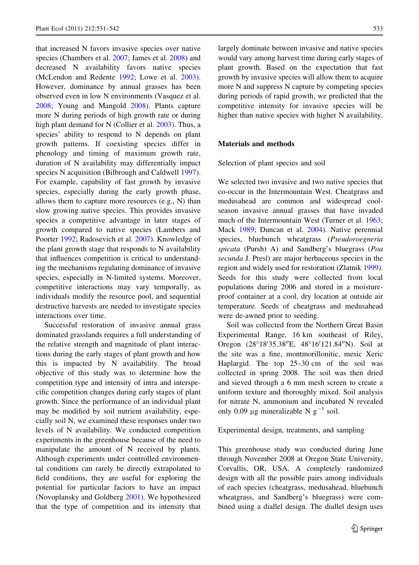that increased N favors invasive species over native species (Chambers et al. [2007](#page-9-0); James et al. [2008\)](#page-10-0) and decreased N availability favors native species (McLendon and Redente [1992](#page-10-0); Lowe et al. [2003](#page-10-0)). However, dominance by annual grasses has been observed even in low N environments (Vasquez et al. [2008;](#page-11-0) Young and Mangold [2008\)](#page-11-0). Plants capture more N during periods of high growth rate or during high plant demand for N (Collier et al. [2003](#page-9-0)). Thus, a species' ability to respond to N depends on plant growth patterns. If coexisting species differ in phenology and timing of maximum growth rate, duration of N availability may differentially impact species N acquisition (Bilbrough and Caldwell [1997](#page-9-0)). For example, capability of fast growth by invasive species, especially during the early growth phase, allows them to capture more resources (e.g., N) than slow growing native species. This provides invasive species a competitive advantage in later stages of growth compared to native species (Lambers and Poorter [1992;](#page-10-0) Radosevich et al. [2007](#page-10-0)). Knowledge of the plant growth stage that responds to N availability that influences competition is critical to understanding the mechanisms regulating dominance of invasive species, especially in N-limited systems. Moreover, competitive interactions may vary temporally, as individuals modify the resource pool, and sequential destructive harvests are needed to investigate species interactions over time.

Successful restoration of invasive annual grass dominated grasslands requires a full understanding of the relative strength and magnitude of plant interactions during the early stages of plant growth and how this is impacted by N availability. The broad objective of this study was to determine how the competition type and intensity of intra and interspecific competition changes during early stages of plant growth. Since the performance of an individual plant may be modified by soil nutrient availability, especially soil N, we examined these responses under two levels of N availability. We conducted competition experiments in the greenhouse because of the need to manipulate the amount of N received by plants. Although experiments under controlled environmental conditions can rarely be directly extrapolated to field conditions, they are useful for exploring the potential for particular factors to have an impact (Novoplansky and Goldberg [2001\)](#page-10-0). We hypothesized that the type of competition and its intensity that largely dominate between invasive and native species would vary among harvest time during early stages of plant growth. Based on the expectation that fast growth by invasive species will allow them to acquire more N and suppress N capture by competing species during periods of rapid growth, we predicted that the competitive intensity for invasive species will be higher than native species with higher N availability.

## Materials and methods

Selection of plant species and soil

We selected two invasive and two native species that co-occur in the Intermountain West. Cheatgrass and medusahead are common and widespread coolseason invasive annual grasses that have invaded much of the Intermountain West (Turner et al. [1963](#page-11-0); Mack [1989](#page-10-0); Duncan et al. [2004](#page-9-0)). Native perennial species, bluebunch wheatgrass (Pseudoroegneria spicata (Pursh) A) and Sandberg's bluegrass (Poa secunda J. Presl) are major herbaceous species in the region and widely used for restoration (Zlatnik [1999](#page-11-0)). Seeds for this study were collected from local populations during 2006 and stored in a moistureproof container at a cool, dry location at outside air temperature. Seeds of cheatgrass and medusahead were de-awned prior to seeding.

Soil was collected from the Northern Great Basin Experimental Range, 16 km southeast of Riley, Oregon (28°18'35.38"E, 48°16'121.84"N). Soil at the site was a fine, montmorillonitic, mesic Xeric Haplargid. The top 25–30 cm of the soil was collected in spring 2008. The soil was then dried and sieved through a 6 mm mesh screen to create a uniform texture and thoroughly mixed. Soil analysis for nitrate N, ammonium and incubated N revealed only 0.09 µg mineralizable N  $g^{-1}$  soil.

### Experimental design, treatments, and sampling

This greenhouse study was conducted during June through November 2008 at Oregon State University, Corvallis, OR, USA. A completely randomized design with all the possible pairs among individuals of each species (cheatgrass, medusahead, bluebunch wheatgrass, and Sandberg's bluegrass) were combined using a diallel design. The diallel design uses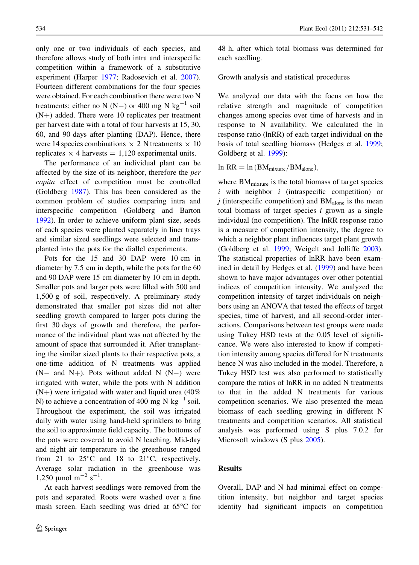only one or two individuals of each species, and therefore allows study of both intra and interspecific competition within a framework of a substitutive experiment (Harper [1977;](#page-10-0) Radosevich et al. [2007](#page-10-0)). Fourteen different combinations for the four species were obtained. For each combination there were two N treatments; either no N (N-) or 400 mg N kg<sup>-1</sup> soil  $(N+)$  added. There were 10 replicates per treatment per harvest date with a total of four harvests at 15, 30, 60, and 90 days after planting (DAP). Hence, there were 14 species combinations  $\times$  2 N treatments  $\times$  10 replicates  $\times$  4 harvests = 1,120 experimental units.

The performance of an individual plant can be affected by the size of its neighbor, therefore the per capita effect of competition must be controlled (Goldberg [1987\)](#page-10-0). This has been considered as the common problem of studies comparing intra and interspecific competition (Goldberg and Barton [1992\)](#page-10-0). In order to achieve uniform plant size, seeds of each species were planted separately in liner trays and similar sized seedlings were selected and transplanted into the pots for the diallel experiments.

Pots for the 15 and 30 DAP were 10 cm in diameter by 7.5 cm in depth, while the pots for the 60 and 90 DAP were 15 cm diameter by 10 cm in depth. Smaller pots and larger pots were filled with 500 and 1,500 g of soil, respectively. A preliminary study demonstrated that smaller pot sizes did not alter seedling growth compared to larger pots during the first 30 days of growth and therefore, the performance of the individual plant was not affected by the amount of space that surrounded it. After transplanting the similar sized plants to their respective pots, a one-time addition of N treatments was applied  $(N-$  and  $N+$ ). Pots without added N  $(N-)$  were irrigated with water, while the pots with N addition  $(N+)$  were irrigated with water and liquid urea (40%) N) to achieve a concentration of 400 mg N kg<sup>-1</sup> soil. Throughout the experiment, the soil was irrigated daily with water using hand-held sprinklers to bring the soil to approximate field capacity. The bottoms of the pots were covered to avoid N leaching. Mid-day and night air temperature in the greenhouse ranged from 21 to  $25^{\circ}$ C and 18 to  $21^{\circ}$ C, respectively. Average solar radiation in the greenhouse was 1,250  $\mu$ mol m<sup>-2</sup> s<sup>-1</sup>.

At each harvest seedlings were removed from the pots and separated. Roots were washed over a fine mash screen. Each seedling was dried at  $65^{\circ}$ C for 48 h, after which total biomass was determined for each seedling.

Growth analysis and statistical procedures

We analyzed our data with the focus on how the relative strength and magnitude of competition changes among species over time of harvests and in response to N availability. We calculated the ln response ratio (lnRR) of each target individual on the basis of total seedling biomass (Hedges et al. [1999](#page-10-0); Goldberg et al. [1999\)](#page-10-0):

 $\ln RR = \ln(BM_{\text{mixture}}/BM_{\text{alone}}),$ 

where  $BM<sub>mixture</sub>$  is the total biomass of target species  $i$  with neighbor  $i$  (intraspecific competition) or  $j$  (interspecific competition) and  $BM<sub>alone</sub>$  is the mean total biomass of target species  $i$  grown as a single individual (no competition). The lnRR response ratio is a measure of competition intensity, the degree to which a neighbor plant influences target plant growth (Goldberg et al. [1999;](#page-10-0) Weigelt and Jolliffe [2003](#page-11-0)). The statistical properties of lnRR have been examined in detail by Hedges et al. [\(1999](#page-10-0)) and have been shown to have major advantages over other potential indices of competition intensity. We analyzed the competition intensity of target individuals on neighbors using an ANOVA that tested the effects of target species, time of harvest, and all second-order interactions. Comparisons between test groups were made using Tukey HSD tests at the 0.05 level of significance. We were also interested to know if competition intensity among species differed for N treatments hence N was also included in the model. Therefore, a Tukey HSD test was also performed to statistically compare the ratios of lnRR in no added N treatments to that in the added N treatments for various competition scenarios. We also presented the mean biomass of each seedling growing in different N treatments and competition scenarios. All statistical analysis was performed using S plus 7.0.2 for Microsoft windows (S plus [2005\)](#page-10-0).

#### Results

Overall, DAP and N had minimal effect on competition intensity, but neighbor and target species identity had significant impacts on competition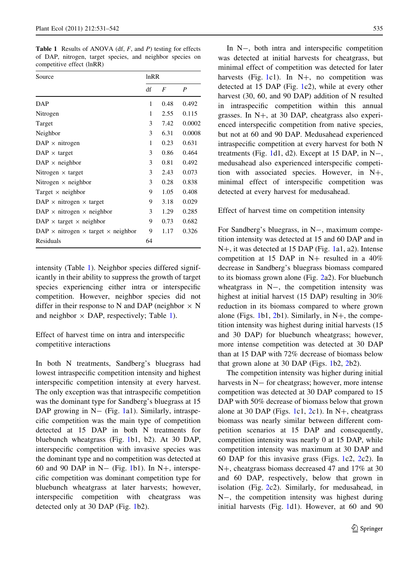<span id="page-4-0"></span>**Table 1** Results of ANOVA (df,  $F$ , and  $P$ ) testing for effects of DAP, nitrogen, target species, and neighbor species on competitive effect (lnRR)

| Source                                                  | lnRR |      |        |
|---------------------------------------------------------|------|------|--------|
|                                                         | df   | F    | P      |
| DAP                                                     | 1    | 0.48 | 0.492  |
| Nitrogen                                                | 1    | 2.55 | 0.115  |
| Target                                                  | 3    | 7.42 | 0.0002 |
| Neighbor                                                | 3    | 6.31 | 0.0008 |
| $DAP \times nitrogen$                                   | 1    | 0.23 | 0.631  |
| $DAP \times \text{target}$                              | 3    | 0.86 | 0.464  |
| DAP $\times$ neighbor                                   | 3    | 0.81 | 0.492  |
| Nitrogen $\times$ target                                | 3    | 2.43 | 0.073  |
| Nitrogen $\times$ neighbor                              | 3    | 0.28 | 0.838  |
| Target $\times$ neighbor                                | 9    | 1.05 | 0.408  |
| DAP $\times$ nitrogen $\times$ target                   | 9    | 3.18 | 0.029  |
| DAP $\times$ nitrogen $\times$ neighbor                 | 3    | 1.29 | 0.285  |
| DAP $\times$ target $\times$ neighbor                   | 9    | 0.73 | 0.682  |
| DAP $\times$ nitrogen $\times$ target $\times$ neighbor | 9    | 1.17 | 0.326  |
| Residuals                                               | 64   |      |        |

intensity (Table 1). Neighbor species differed significantly in their ability to suppress the growth of target species experiencing either intra or interspecific competition. However, neighbor species did not differ in their response to N and DAP (neighbor  $\times$  N and neighbor  $\times$  DAP, respectively; Table 1).

Effect of harvest time on intra and interspecific competitive interactions

In both N treatments, Sandberg's bluegrass had lowest intraspecific competition intensity and highest interspecific competition intensity at every harvest. The only exception was that intraspecific competition was the dominant type for Sandberg's bluegrass at 15 DAP growing in  $N-$  (Fig. [1a](#page-6-0)1). Similarly, intraspecific competition was the main type of competition detected at 15 DAP in both N treatments for bluebunch wheatgrass (Fig. [1b](#page-6-0)1, b2). At 30 DAP, interspecific competition with invasive species was the dominant type and no competition was detected at 60 and 90 DAP in  $N-$  (Fig. [1](#page-6-0)b1). In  $N+$ , interspecific competition was dominant competition type for bluebunch wheatgrass at later harvests; however, interspecific competition with cheatgrass was detected only at 30 DAP (Fig. [1](#page-6-0)b2).

In N-, both intra and interspecific competition was detected at initial harvests for cheatgrass, but minimal effect of competition was detected for later harvests (Fig. [1c](#page-6-0)1). In  $N+$ , no competition was detected at 15 DAP (Fig. [1c](#page-6-0)2), while at every other harvest (30, 60, and 90 DAP) addition of N resulted in intraspecific competition within this annual grasses. In  $N+$ , at 30 DAP, cheatgrass also experienced interspecific competition from native species, but not at 60 and 90 DAP. Medusahead experienced intraspecific competition at every harvest for both N treatments (Fig. [1](#page-6-0)d1, d2). Except at 15 DAP, in  $N-$ , medusahead also experienced interspecific competition with associated species. However, in  $N+$ , minimal effect of interspecific competition was detected at every harvest for medusahead.

#### Effect of harvest time on competition intensity

For Sandberg's bluegrass, in  $N-$ , maximum competition intensity was detected at 15 and 60 DAP and in  $N+$ , it was detected at [1](#page-6-0)5 DAP (Fig. 1a1, a2). Intense competition at 15 DAP in N+ resulted in a  $40\%$ decrease in Sandberg's bluegrass biomass compared to its biomass grown alone (Fig. [2a](#page-8-0)2). For bluebunch wheatgrass in  $N-$ , the competition intensity was highest at initial harvest (15 DAP) resulting in 30% reduction in its biomass compared to where grown alone (Figs. [1](#page-6-0)b1, [2b](#page-8-0)1). Similarly, in  $N+$ , the competition intensity was highest during initial harvests (15 and 30 DAP) for bluebunch wheatgrass; however, more intense competition was detected at 30 DAP than at 15 DAP with 72% decrease of biomass below that grown alone at 30 DAP (Figs. [1](#page-6-0)b2, [2](#page-8-0)b2).

The competition intensity was higher during initial harvests in N- for cheatgrass; however, more intense competition was detected at 30 DAP compared to 15 DAP with 50% decrease of biomass below that grown alone at 30 DAP (Figs. [1c](#page-6-0)1, [2c](#page-8-0)1). In  $N+$ , cheatgrass biomass was nearly similar between different competition scenarios at 15 DAP and consequently, competition intensity was nearly 0 at 15 DAP, while competition intensity was maximum at 30 DAP and 60 DAP for this invasive grass (Figs. [1](#page-6-0)c2, [2](#page-8-0)c2). In N+, cheatgrass biomass decreased 47 and 17% at 30 and 60 DAP, respectively, below that grown in isolation (Fig. [2](#page-8-0)c2). Similarly, for medusahead, in N-, the competition intensity was highest during initial harvests (Fig. [1d](#page-6-0)1). However, at 60 and 90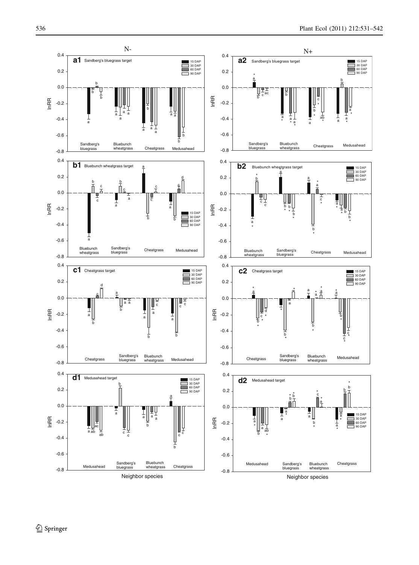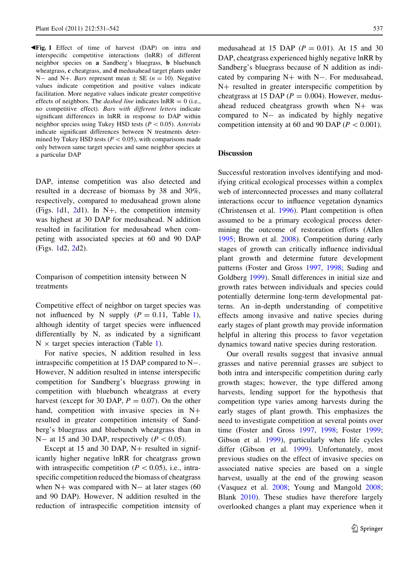<span id="page-6-0"></span>Fig. 1 Effect of time of harvest (DAP) on intra and b interspecific competitive interactions (lnRR) of different neighbor species on a Sandberg's bluegrass, b bluebunch wheatgrass, c cheatgrass, and **d** medusahead target plants under N- and N+. Bars represent mean  $\pm$  SE (n = 10). Negative values indicate competition and positive values indicate facilitation. More negative values indicate greater competitive effects of neighbors. The *dashed line* indicates  $lnRR = 0$  (i.e., no competitive effect). Bars with different letters indicate significant differences in lnRR in response to DAP within neighbor species using Tukey HSD tests ( $P \lt 0.05$ ). Asterisks indicate significant differences between N treatments determined by Tukey HSD tests ( $P < 0.05$ ), with comparisons made only between same target species and same neighbor species at a particular DAP

DAP, intense competition was also detected and resulted in a decrease of biomass by 38 and 30%, respectively, compared to medusahead grown alone (Figs. 1d1, [2d](#page-8-0)1). In  $N<sub>+</sub>$ , the competition intensity was highest at 30 DAP for medusahead. N addition resulted in facilitation for medusahead when competing with associated species at 60 and 90 DAP (Figs. 1d2, [2d](#page-8-0)2).

Comparison of competition intensity between N treatments

Competitive effect of neighbor on target species was not influenced by N supply  $(P = 0.11,$  $(P = 0.11,$  $(P = 0.11,$  Table 1), although identity of target species were influenced differentially by N, as indicated by a significant  $N \times$  target species interaction (Table [1](#page-4-0)).

For native species, N addition resulted in less intraspecific competition at 15 DAP compared to N-. However, N addition resulted in intense interspecific competition for Sandberg's bluegrass growing in competition with bluebunch wheatgrass at every harvest (except for 30 DAP,  $P = 0.07$ ). On the other hand, competition with invasive species in  $N+$ resulted in greater competition intensity of Sandberg's bluegrass and bluebunch wheatgrass than in N- at 15 and 30 DAP, respectively ( $P < 0.05$ ).

Except at 15 and 30 DAP,  $N+$  resulted in significantly higher negative lnRR for cheatgrass grown with intraspecific competition ( $P < 0.05$ ), i.e., intraspecific competition reduced the biomass of cheatgrass when  $N+$  was compared with  $N-$  at later stages (60 and 90 DAP). However, N addition resulted in the reduction of intraspecific competition intensity of medusahead at 15 DAP ( $P = 0.01$ ). At 15 and 30 DAP, cheatgrass experienced highly negative lnRR by Sandberg's bluegrass because of N addition as indicated by comparing  $N+$  with  $N-$ . For medusahead,  $N+$  resulted in greater interspecific competition by cheatgrass at 15 DAP ( $P = 0.004$ ). However, medusahead reduced cheatgrass growth when  $N+$  was compared to  $N-$  as indicated by highly negative competition intensity at 60 and 90 DAP ( $P < 0.001$ ).

## **Discussion**

Successful restoration involves identifying and modifying critical ecological processes within a complex web of interconnected processes and many collateral interactions occur to influence vegetation dynamics (Christensen et al. [1996\)](#page-9-0). Plant competition is often assumed to be a primary ecological process determining the outcome of restoration efforts (Allen [1995;](#page-9-0) Brown et al. [2008\)](#page-9-0). Competition during early stages of growth can critically influence individual plant growth and determine future development patterns (Foster and Gross [1997,](#page-10-0) [1998](#page-10-0); Suding and Goldberg [1999\)](#page-10-0). Small differences in initial size and growth rates between individuals and species could potentially determine long-term developmental patterns. An in-depth understanding of competitive effects among invasive and native species during early stages of plant growth may provide information helpful in altering this process to favor vegetation dynamics toward native species during restoration.

Our overall results suggest that invasive annual grasses and native perennial grasses are subject to both intra and interspecific competition during early growth stages; however, the type differed among harvests, lending support for the hypothesis that competition type varies among harvests during the early stages of plant growth. This emphasizes the need to investigate competition at several points over time (Foster and Gross [1997,](#page-10-0) [1998;](#page-10-0) Foster [1999](#page-10-0); Gibson et al. [1999\)](#page-10-0), particularly when life cycles differ (Gibson et al. [1999](#page-10-0)). Unfortunately, most previous studies on the effect of invasive species on associated native species are based on a single harvest, usually at the end of the growing season (Vasquez et al. [2008;](#page-11-0) Young and Mangold [2008](#page-11-0); Blank [2010\)](#page-9-0). These studies have therefore largely overlooked changes a plant may experience when it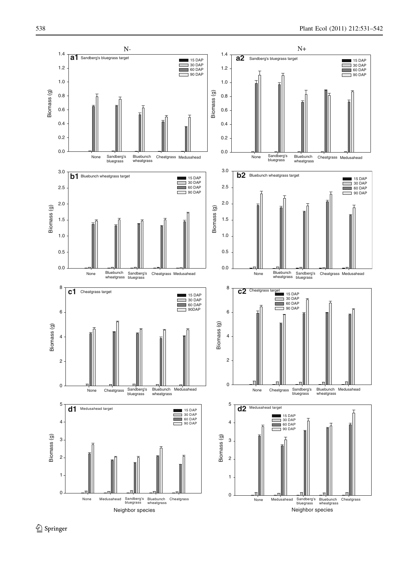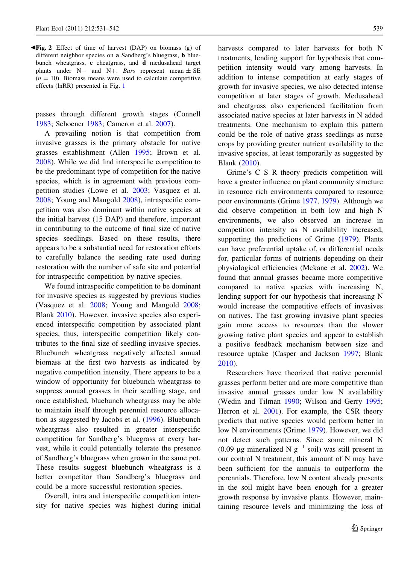<span id="page-8-0"></span>Fig. 2 Effect of time of harvest (DAP) on biomass (g) of b different neighbor species on a Sandberg's bluegrass, **b** bluebunch wheatgrass, c cheatgrass, and d medusahead target plants under  $N-$  and  $N+$ . Bars represent mean  $\pm$  SE  $(n = 10)$ . Biomass means were used to calculate competitive effects (lnRR) presented in Fig. [1](#page-6-0)

passes through different growth stages (Connell [1983;](#page-9-0) Schoener [1983](#page-10-0); Cameron et al. [2007](#page-9-0)).

A prevailing notion is that competition from invasive grasses is the primary obstacle for native grasses establishment (Allen [1995;](#page-9-0) Brown et al. [2008\)](#page-9-0). While we did find interspecific competition to be the predominant type of competition for the native species, which is in agreement with previous competition studies (Lowe et al. [2003](#page-10-0); Vasquez et al. [2008;](#page-11-0) Young and Mangold [2008](#page-11-0)), intraspecific competition was also dominant within native species at the initial harvest (15 DAP) and therefore, important in contributing to the outcome of final size of native species seedlings. Based on these results, there appears to be a substantial need for restoration efforts to carefully balance the seeding rate used during restoration with the number of safe site and potential for intraspecific competition by native species.

We found intraspecific competition to be dominant for invasive species as suggested by previous studies (Vasquez et al. [2008;](#page-11-0) Young and Mangold [2008](#page-11-0); Blank [2010\)](#page-9-0). However, invasive species also experienced interspecific competition by associated plant species, thus, interspecific competition likely contributes to the final size of seedling invasive species. Bluebunch wheatgrass negatively affected annual biomass at the first two harvests as indicated by negative competition intensity. There appears to be a window of opportunity for bluebunch wheatgrass to suppress annual grasses in their seedling stage, and once established, bluebunch wheatgrass may be able to maintain itself through perennial resource allocation as suggested by Jacobs et al. ([1996\)](#page-10-0). Bluebunch wheatgrass also resulted in greater interspecific competition for Sandberg's bluegrass at every harvest, while it could potentially tolerate the presence of Sandberg's bluegrass when grown in the same pot. These results suggest bluebunch wheatgrass is a better competitor than Sandberg's bluegrass and could be a more successful restoration species.

Overall, intra and interspecific competition intensity for native species was highest during initial harvests compared to later harvests for both N treatments, lending support for hypothesis that competition intensity would vary among harvests. In addition to intense competition at early stages of growth for invasive species, we also detected intense competition at later stages of growth. Medusahead and cheatgrass also experienced facilitation from associated native species at later harvests in N added treatments. One mechanism to explain this pattern could be the role of native grass seedlings as nurse crops by providing greater nutrient availability to the invasive species, at least temporarily as suggested by Blank [\(2010](#page-9-0)).

Grime's C–S–R theory predicts competition will have a greater influence on plant community structure in resource rich environments compared to resource poor environments (Grime [1977,](#page-10-0) [1979\)](#page-10-0). Although we did observe competition in both low and high N environments, we also observed an increase in competition intensity as N availability increased, supporting the predictions of Grime [\(1979](#page-10-0)). Plants can have preferential uptake of, or differential needs for, particular forms of nutrients depending on their physiological efficiencies (Mckane et al. [2002\)](#page-10-0). We found that annual grasses became more competitive compared to native species with increasing N, lending support for our hypothesis that increasing N would increase the competitive effects of invasives on natives. The fast growing invasive plant species gain more access to resources than the slower growing native plant species and appear to establish a positive feedback mechanism between size and resource uptake (Casper and Jackson [1997](#page-9-0); Blank [2010\)](#page-9-0).

Researchers have theorized that native perennial grasses perform better and are more competitive than invasive annual grasses under low N availability (Wedin and Tilman [1990](#page-11-0); Wilson and Gerry [1995](#page-11-0); Herron et al. [2001](#page-10-0)). For example, the CSR theory predicts that native species would perform better in low N environments (Grime [1979](#page-10-0)). However, we did not detect such patterns. Since some mineral N (0.09 µg mineralized N  $g^{-1}$  soil) was still present in our control N treatment, this amount of N may have been sufficient for the annuals to outperform the perennials. Therefore, low N content already presents in the soil might have been enough for a greater growth response by invasive plants. However, maintaining resource levels and minimizing the loss of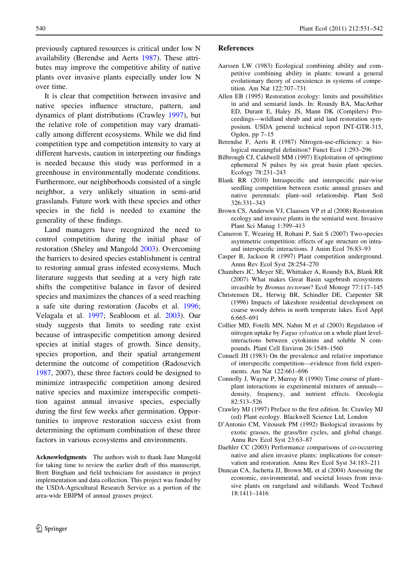<span id="page-9-0"></span>540 Plant Ecol (2011) 212:531–542

previously captured resources is critical under low N availability (Berendse and Aerts 1987). These attributes may improve the competitive ability of native plants over invasive plants especially under low N over time.

It is clear that competition between invasive and native species influence structure, pattern, and dynamics of plant distributions (Crawley 1997), but the relative role of competition may vary dramatically among different ecosystems. While we did find competition type and competition intensity to vary at different harvests, caution in interpreting our findings is needed because this study was performed in a greenhouse in environmentally moderate conditions. Furthermore, our neighborhoods consisted of a single neighbor, a very unlikely situation in semi-arid grasslands. Future work with these species and other species in the field is needed to examine the generality of these findings.

Land managers have recognized the need to control competition during the initial phase of restoration (Sheley and Mangold [2003](#page-10-0)). Overcoming the barriers to desired species establishment is central to restoring annual grass infested ecosystems. Much literature suggests that seeding at a very high rate shifts the competitive balance in favor of desired species and maximizes the chances of a seed reaching a safe site during restoration (Jacobs et al. [1996](#page-10-0); Velagala et al. [1997](#page-11-0); Seabloom et al. [2003\)](#page-10-0). Our study suggests that limits to seeding rate exist because of intraspecific competition among desired species at initial stages of growth. Since density, species proportion, and their spatial arrangement determine the outcome of competition (Radosevich [1987,](#page-10-0) 2007), these three factors could be designed to minimize intraspecific competition among desired native species and maximize interspecific competition against annual invasive species, especially during the first few weeks after germination. Opportunities to improve restoration success exist from determining the optimum combination of these three factors in various ecosystems and environments.

Acknowledgments The authors wish to thank Jane Mangold for taking time to review the earlier draft of this manuscript, Brett Bingham and field technicians for assistance in project implementation and data collection. This project was funded by the USDA-Agricultural Research Service as a portion of the area-wide EBIPM of annual grasses project.

### References

- Aarssen LW (1983) Ecological combining ability and competitive combining ability in plants: toward a general evolutionary theory of coexistence in systems of competition. Am Nat 122:707–731
- Allen EB (1995) Restoration ecology: limits and possibilities in arid and semiarid lands. In: Roundy BA, MacArthur ED, Durant E, Haley JS, Mann DK (Compilers) Proceedings—wildland shrub and arid land restoration symposium. USDA general technical report INT-GTR-315, Ogden, pp 7–15
- Berendse F, Aerts R (1987) Nitrogen-use-efficiency: a biological meaningful definition? Funct Ecol 1:293–296
- Bilbrough CJ, Caldwell MM (1997) Exploitation of springtime ephemeral N pulses by six great basin plant species. Ecology 78:231–243
- Blank RR (2010) Intraspecific and interspecific pair-wise seedling competition between exotic annual grasses and native perennials: plant–soil relationship. Plant Soil 326:331–343
- Brown CS, Anderson VJ, Claassen VP et al (2008) Restoration ecology and invasive plants in the semiarid west. Invasive Plant Sci Manag 1:399–413
- Cameron T, Wearing H, Rohani P, Sait S (2007) Two-species asymmetric competition: effects of age structure on intraand interspecific interactions. J Anim Ecol 76:83–93
- Casper B, Jackson R (1997) Plant competition underground. Annu Rev Ecol Syst 28:254–270
- Chambers JC, Meyer SE, Whittaker A, Roundy BA, Blank RR (2007) What makes Great Basin sagebrush ecosystems invasible by Bromus tectorum? Ecol Monogr 77:117–145
- Christensen DL, Herwig BR, Schindler DE, Carpenter SR (1996) Impacts of lakeshore residential development on coarse woody debris in north temperate lakes. Ecol Appl 6:665–691
- Collier MD, Fotelli MN, Nahm M et al (2003) Regulation of nitrogen uptake by Fagus sylvatica on a whole plant levelinteractions between cytokinins and soluble N compounds. Plant Cell Environ 26:1549–1560
- Connell JH (1983) On the prevalence and relative importance of interspecific competition—evidence from field experiments. Am Nat 122:661–696
- Connolly J, Wayne P, Murray R (1990) Time course of plant– plant interactions in experimental mixtures of annuals density, frequency, and nutrient effects. Oecologia 82:513–526
- Crawley MJ (1997) Preface to the first edition. In: Crawley MJ (ed) Plant ecology. Blackwell Science Ltd, London
- D'Antonio CM, Vitousek PM (1992) Biological invasions by exotic grasses, the grass/fire cycles, and global change. Annu Rev Ecol Syst 23:63–87
- Daehler CC (2003) Performance comparisons of co-occurring native and alien invasive plants: implications for conservation and restoration. Annu Rev Ecol Syst 34:183–211
- Duncan CA, Jachetta JJ, Brown ML et al (2004) Assessing the economic, environmental, and societal losses from invasive plants on rangeland and wildlands. Weed Technol 18:1411–1416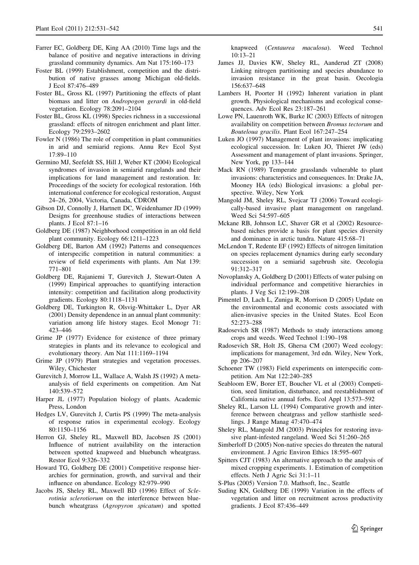- <span id="page-10-0"></span>Farrer EC, Goldberg DE, King AA (2010) Time lags and the balance of positive and negative interactions in driving grassland community dynamics. Am Nat 175:160–173
- Foster BL (1999) Establishment, competition and the distribution of native grasses among Michigan old-fields. J Ecol 87:476–489
- Foster BL, Gross KL (1997) Partitioning the effects of plant biomass and litter on Andropogon gerardi in old-field vegetation. Ecology 78:2091–2104
- Foster BL, Gross KL (1998) Species richness in a successional grassland: effects of nitrogen enrichment and plant litter. Ecology 79:2593–2602
- Fowler N (1986) The role of competition in plant communities in arid and semiarid regions. Annu Rev Ecol Syst 17:89–110
- Germino MJ, Seefeldt SS, Hill J, Weber KT (2004) Ecological syndromes of invasion in semiarid rangelands and their implications for land management and restoration. In: Proceedings of the society for ecological restoration. 16th international conference for ecological restoration, August 24–26, 2004, Victoria, Canada, CDROM
- Gibson DJ, Connolly J, Hartnett DC, Weidenhamer JD (1999) Designs for greenhouse studies of interactions between plants. J Ecol 87:1–16
- Goldberg DE (1987) Neighborhood competition in an old field plant community. Ecology 66:1211–1223
- Goldberg DE, Barton AM (1992) Patterns and consequences of interspecific competition in natural communities: a review of field experiments with plants. Am Nat 139: 771–801
- Goldberg DE, Rajaniemi T, Gurevitch J, Stewart-Oaten A (1999) Empirical approaches to quantifying interaction intensity: competition and facilitation along productivity gradients. Ecology 80:1118–1131
- Goldberg DE, Turkington R, Olsvig-Whittaker L, Dyer AR (2001) Density dependence in an annual plant community: variation among life history stages. Ecol Monogr 71: 423–446
- Grime JP (1977) Evidence for existence of three primary strategies in plants and its relevance to ecological and evolutionary theory. Am Nat 111:1169–1194
- Grime JP (1979) Plant strategies and vegetation processes. Wiley, Chichester
- Gurevitch J, Morrow LL, Wallace A, Walsh JS (1992) A metaanalysis of field experiments on competition. Am Nat 140:539–572
- Harper JL (1977) Population biology of plants. Academic Press, London
- Hedges LV, Gurevitch J, Curtis PS (1999) The meta-analysis of response ratios in experimental ecology. Ecology 80:1150–1156
- Herron GJ, Sheley RL, Maxwell BD, Jacobsen JS (2001) Influence of nutrient availability on the interaction between spotted knapweed and bluebunch wheatgrass. Restor Ecol 9:326–332
- Howard TG, Goldberg DE (2001) Competitive response hierarchies for germination, growth, and survival and their influence on abundance. Ecology 82:979–990
- Jacobs JS, Sheley RL, Maxwell BD (1996) Effect of Sclerotinia sclerotiorum on the interference between bluebunch wheatgrass (Agropyron spicatum) and spotted

knapweed (Centaurea maculosa). Weed Technol 10:13–21

- James JJ, Davies KW, Sheley RL, Aanderud ZT (2008) Linking nitrogen partitioning and species abundance to invasion resistance in the great basin. Oecologia 156:637–648
- Lambers H, Poorter H (1992) Inherent variation in plant growth. Physiological mechanisms and ecological consequences. Adv Ecol Res 23:187–261
- Lowe PN, Lauenroth WK, Burke IC (2003) Effects of nitrogen availability on competition between Bromus tectorum and Bouteloua gracilis. Plant Ecol 167:247–254
- Luken JO (1997) Management of plant invasions: implicating ecological succession. In: Luken JO, Thieret JW (eds) Assessment and management of plant invasions. Springer, New York, pp 133–144
- Mack RN (1989) Temperate grasslands vulnerable to plant invasions: characteristics and consequences. In: Drake JA, Mooney HA (eds) Biological invasions: a global perspective. Wiley, New York
- Mangold JM, Sheley RL, Svejcar TJ (2006) Toward ecologically-based invasive plant management on rangeland. Weed Sci 54:597–605
- Mckane RB, Johnson LC, Shaver GR et al (2002) Resourcebased niches provide a basis for plant species diversity and dominance in arctic tundra. Nature 415:68–71
- McLendon T, Redente EF (1992) Effects of nitrogen limitation on species replacement dynamics during early secondary succession on a semiarid sagebrush site. Oecologia 91:312–317
- Novoplansky A, Goldberg D (2001) Effects of water pulsing on individual performance and competitive hierarchies in plants. J Veg Sci 12:199–208
- Pimentel D, Lach L, Zuniga R, Morrison D (2005) Update on the environmental and economic costs associated with alien-invasive species in the United States. Ecol Econ 52:273–288
- Radosevich SR (1987) Methods to study interactions among crops and weeds. Weed Technol 1:190–198
- Radosevich SR, Holt JS, Ghersa CM (2007) Weed ecology: implications for management, 3rd edn. Wiley, New York, pp 206–207
- Schoener TW (1983) Field experiments on interspecific competition. Am Nat 122:240–285
- Seabloom EW, Borer ET, Boucher VL et al (2003) Competition, seed limitation, disturbance, and reestablishment of California native annual forbs. Ecol Appl 13:573–592
- Sheley RL, Larson LL (1994) Comparative growth and interference between cheatgrass and yellow starthistle seedlings. J Range Manag 47:470–474
- Sheley RL, Mangold JM (2003) Principles for restoring invasive plant-infested rangeland. Weed Sci 51:260–265
- Simberloff D (2005) Non-native species do threaten the natural environment. J Agric Environ Ethics 18:595–607
- Spitters CJT (1983) An alternative approach to the analysis of mixed cropping experiments. 1. Estimation of competition effects. Neth J Agric Sci 31:1–11
- S-Plus (2005) Version 7.0. Mathsoft, Inc., Seattle
- Suding KN, Goldberg DE (1999) Variation in the effects of vegetation and litter on recruitment across productivity gradients. J Ecol 87:436–449